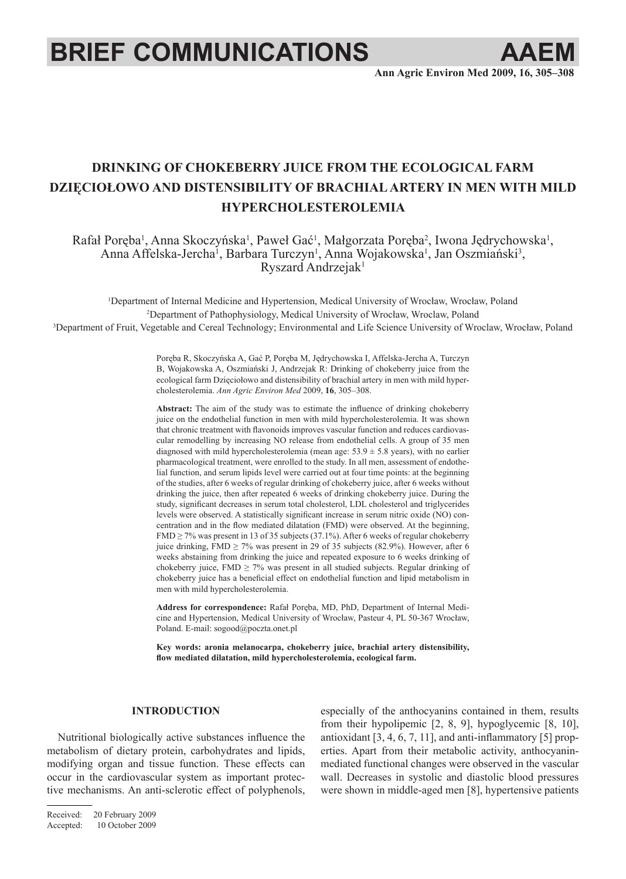# **BRIEF COMMUNICATIONS AAE**

**Ann Agric Environ Med 2009, 16, 305–308**

# **DRINKING OF CHOKEBERRY JUICE FROM THE ECOLOGICAL FARM DZIĘCIOŁOWO AND DISTENSIBILITY OF BRACHIAL ARTERY IN MEN WITH MILD HYPERCHOLESTEROLEMIA**

Rafał Poręba<sup>1</sup>, Anna Skoczyńska<sup>1</sup>, Paweł Gać<sup>1</sup>, Małgorzata Poręba<sup>2</sup>, Iwona Jędrychowska<sup>1</sup>, Anna Affelska-Jercha<sup>1</sup>, Barbara Turczyn<sup>1</sup>, Anna Wojakowska<sup>1</sup>, Jan Oszmiański<sup>3</sup>, Ryszard Andrzejak1

1 Department of Internal Medicine and Hypertension, Medical University of Wrocław, Wrocław, Poland 2 Department of Pathophysiology, Medical University of Wrocław, Wroclaw, Poland 3 Department of Fruit, Vegetable and Cereal Technology; Environmental and Life Science University of Wroclaw, Wrocław, Poland

> Poręba R, Skoczyńska A, Gać P, Poręba M, Jędrychowska I, Affelska-Jercha A, Turczyn B, Wojakowska A, Oszmiański J, Andrzejak R: Drinking of chokeberry juice from the ecological farm Dzięciołowo and distensibility of brachial artery in men with mild hypercholesterolemia. *Ann Agric Environ Med* 2009, **16**, 305–308.

> **Abstract:** The aim of the study was to estimate the influence of drinking chokeberry juice on the endothelial function in men with mild hypercholesterolemia. It was shown that chronic treatment with flavonoids improves vascular function and reduces cardiovascular remodelling by increasing NO release from endothelial cells. A group of 35 men diagnosed with mild hypercholesterolemia (mean age:  $53.9 \pm 5.8$  years), with no earlier pharmacological treatment, were enrolled to the study. In all men, assessment of endothelial function, and serum lipids level were carried out at four time points: at the beginning of the studies, after 6 weeks of regular drinking of chokeberry juice, after 6 weeks without drinking the juice, then after repeated 6 weeks of drinking chokeberry juice. During the study, significant decreases in serum total cholesterol, LDL cholesterol and triglycerides levels were observed. A statistically significant increase in serum nitric oxide (NO) concentration and in the flow mediated dilatation (FMD) were observed. At the beginning, FMD  $\geq$  7% was present in 13 of 35 subjects (37.1%). After 6 weeks of regular chokeberry juice drinking, FMD  $\geq$  7% was present in 29 of 35 subjects (82.9%). However, after 6 weeks abstaining from drinking the juice and repeated exposure to 6 weeks drinking of chokeberry juice, FMD  $\geq$  7% was present in all studied subjects. Regular drinking of chokeberry juice has a beneficial effect on endothelial function and lipid metabolism in men with mild hypercholesterolemia.

> **Address for correspondence:** Rafał Poręba, MD, PhD, Department of Internal Medicine and Hypertension, Medical University of Wrocław, Pasteur 4, PL 50-367 Wrocław, Poland. E-mail: sogood@poczta.onet.pl

> **Key words: aronia melanocarpa, chokeberry juice, brachial artery distensibility, flow mediated dilatation, mild hypercholesterolemia, ecological farm.**

# **INTRODUCTION**

Nutritional biologically active substances influence the metabolism of dietary protein, carbohydrates and lipids, modifying organ and tissue function. These effects can occur in the cardiovascular system as important protective mechanisms. An anti-sclerotic effect of polyphenols,

Received: 20 February 2009 Accepted: 10 October 2009

especially of the anthocyanins contained in them, results from their hypolipemic [2, 8, 9], hypoglycemic [8, 10], antioxidant [3, 4, 6, 7, 11], and anti-inflammatory [5] properties. Apart from their metabolic activity, anthocyaninmediated functional changes were observed in the vascular wall. Decreases in systolic and diastolic blood pressures were shown in middle-aged men [8], hypertensive patients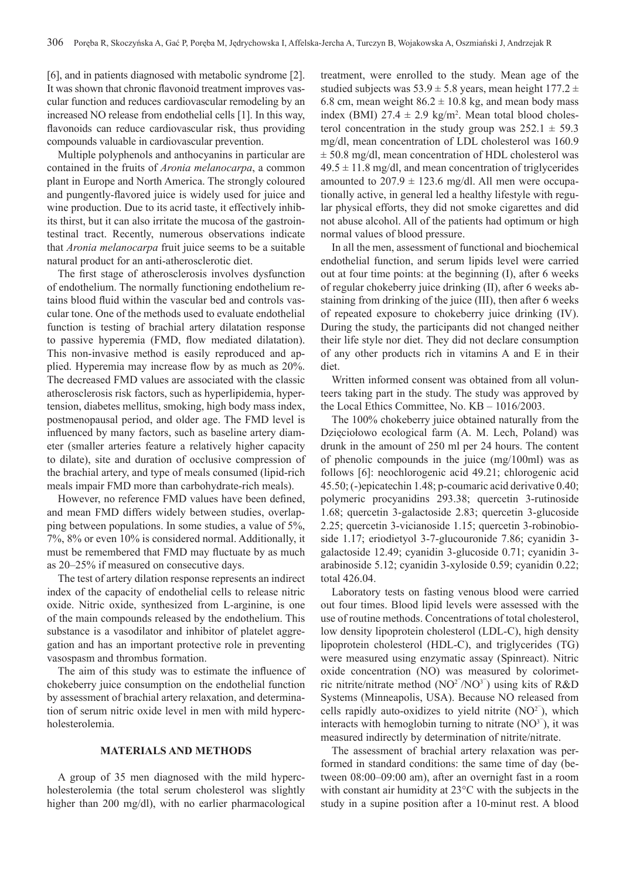[6], and in patients diagnosed with metabolic syndrome [2]. It was shown that chronic flavonoid treatment improves vascular function and reduces cardiovascular remodeling by an increased NO release from endothelial cells [1]. In this way, flavonoids can reduce cardiovascular risk, thus providing compounds valuable in cardiovascular prevention.

Multiple polyphenols and anthocyanins in particular are contained in the fruits of *Aronia melanocarpa*, a common plant in Europe and North America. The strongly coloured and pungently-flavored juice is widely used for juice and wine production. Due to its acrid taste, it effectively inhibits thirst, but it can also irritate the mucosa of the gastrointestinal tract. Recently, numerous observations indicate that *Aronia melanocarpa* fruit juice seems to be a suitable natural product for an anti-atherosclerotic diet.

The first stage of atherosclerosis involves dysfunction of endothelium. The normally functioning endothelium retains blood fluid within the vascular bed and controls vascular tone. One of the methods used to evaluate endothelial function is testing of brachial artery dilatation response to passive hyperemia (FMD, flow mediated dilatation). This non-invasive method is easily reproduced and applied. Hyperemia may increase flow by as much as 20%. The decreased FMD values are associated with the classic atherosclerosis risk factors, such as hyperlipidemia, hypertension, diabetes mellitus, smoking, high body mass index, postmenopausal period, and older age. The FMD level is influenced by many factors, such as baseline artery diameter (smaller arteries feature a relatively higher capacity to dilate), site and duration of occlusive compression of the brachial artery, and type of meals consumed (lipid-rich meals impair FMD more than carbohydrate-rich meals).

However, no reference FMD values have been defined, and mean FMD differs widely between studies, overlapping between populations. In some studies, a value of 5%, 7%, 8% or even 10% is considered normal. Additionally, it must be remembered that FMD may fluctuate by as much as 20–25% if measured on consecutive days.

The test of artery dilation response represents an indirect index of the capacity of endothelial cells to release nitric oxide. Nitric oxide, synthesized from L-arginine, is one of the main compounds released by the endothelium. This substance is a vasodilator and inhibitor of platelet aggregation and has an important protective role in preventing vasospasm and thrombus formation.

The aim of this study was to estimate the influence of chokeberry juice consumption on the endothelial function by assessment of brachial artery relaxation, and determination of serum nitric oxide level in men with mild hypercholesterolemia.

# **Materials and methods**

A group of 35 men diagnosed with the mild hypercholesterolemia (the total serum cholesterol was slightly higher than 200 mg/dl), with no earlier pharmacological

treatment, were enrolled to the study. Mean age of the studied subjects was  $53.9 \pm 5.8$  years, mean height  $177.2 \pm$ 6.8 cm, mean weight  $86.2 \pm 10.8$  kg, and mean body mass index (BMI)  $27.4 \pm 2.9$  kg/m<sup>2</sup>. Mean total blood cholesterol concentration in the study group was  $252.1 \pm 59.3$ mg/dl, mean concentration of LDL cholesterol was 160.9 ± 50.8 mg/dl, mean concentration of HDL cholesterol was  $49.5 \pm 11.8$  mg/dl, and mean concentration of triglycerides amounted to  $207.9 \pm 123.6$  mg/dl. All men were occupationally active, in general led a healthy lifestyle with regular physical efforts, they did not smoke cigarettes and did not abuse alcohol. All of the patients had optimum or high normal values of blood pressure.

In all the men, assessment of functional and biochemical endothelial function, and serum lipids level were carried out at four time points: at the beginning (I), after 6 weeks of regular chokeberry juice drinking (II), after 6 weeks abstaining from drinking of the juice (III), then after 6 weeks of repeated exposure to chokeberry juice drinking (IV). During the study, the participants did not changed neither their life style nor diet. They did not declare consumption of any other products rich in vitamins A and E in their diet.

Written informed consent was obtained from all volunteers taking part in the study. The study was approved by the Local Ethics Committee, No. KB – 1016/2003.

The 100% chokeberry juice obtained naturally from the Dzięciołowo ecological farm (A. M. Lech, Poland) was drunk in the amount of 250 ml per 24 hours. The content of phenolic compounds in the juice (mg/100ml) was as follows [6]: neochlorogenic acid 49.21; chlorogenic acid 45.50; (-)epicatechin 1.48; p-coumaric acid derivative 0.40; polymeric procyanidins 293.38; quercetin 3-rutinoside 1.68; quercetin 3-galactoside 2.83; quercetin 3-glucoside 2.25; quercetin 3-vicianoside 1.15; quercetin 3-robinobioside 1.17; eriodietyol 3-7-glucouronide 7.86; cyanidin 3 galactoside 12.49; cyanidin 3-glucoside 0.71; cyanidin 3 arabinoside 5.12; cyanidin 3-xyloside 0.59; cyanidin 0.22; total 426.04.

Laboratory tests on fasting venous blood were carried out four times. Blood lipid levels were assessed with the use of routine methods. Concentrations of total cholesterol, low density lipoprotein cholesterol (LDL-C), high density lipoprotein cholesterol (HDL-C), and triglycerides (TG) were measured using enzymatic assay (Spinreact). Nitric oxide concentration (NO) was measured by colorimetric nitrite/nitrate method  $(NO<sup>27</sup>/NO<sup>37</sup>)$  using kits of R&D Systems (Minneapolis, USA). Because NO released from cells rapidly auto-oxidizes to yield nitrite  $(NO<sup>2</sup>)$ , which interacts with hemoglobin turning to nitrate  $(NO<sup>3</sup>)$ , it was measured indirectly by determination of nitrite/nitrate.

The assessment of brachial artery relaxation was performed in standard conditions: the same time of day (between 08:00–09:00 am), after an overnight fast in a room with constant air humidity at 23°C with the subjects in the study in a supine position after a 10-minut rest. A blood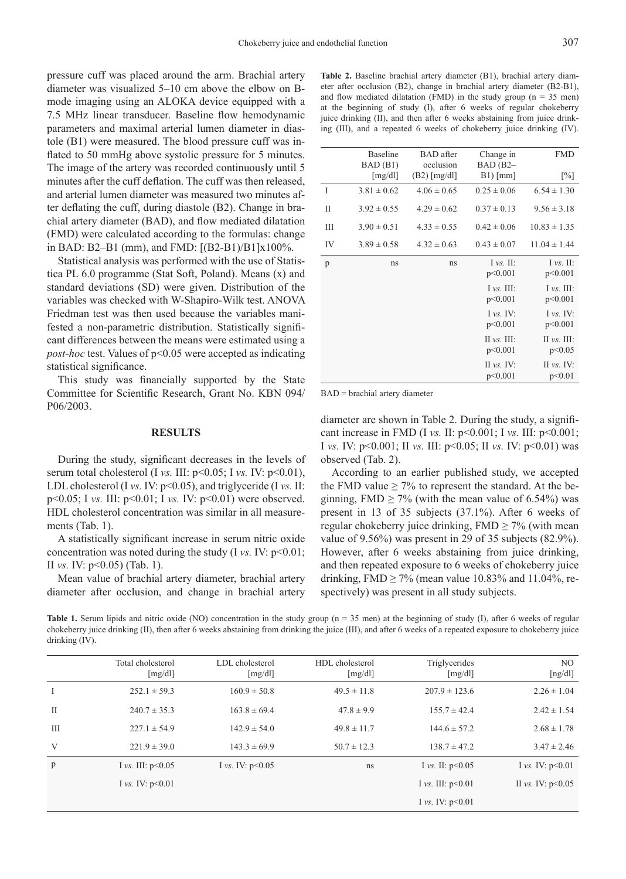pressure cuff was placed around the arm. Brachial artery diameter was visualized 5–10 cm above the elbow on Bmode imaging using an ALOKA device equipped with a 7.5 MHz linear transducer. Baseline flow hemodynamic parameters and maximal arterial lumen diameter in diastole (B1) were measured. The blood pressure cuff was inflated to 50 mmHg above systolic pressure for 5 minutes. The image of the artery was recorded continuously until 5 minutes after the cuff deflation. The cuff was then released, and arterial lumen diameter was measured two minutes after deflating the cuff, during diastole (B2). Change in brachial artery diameter (BAD), and flow mediated dilatation (FMD) were calculated according to the formulas: change in BAD: B2–B1 (mm), and FMD: [(B2-B1)/B1]x100%.

Statistical analysis was performed with the use of Statistica PL 6.0 programme (Stat Soft, Poland). Means (x) and standard deviations (SD) were given. Distribution of the variables was checked with W-Shapiro-Wilk test. ANOVA Friedman test was then used because the variables manifested a non-parametric distribution. Statistically significant differences between the means were estimated using a *post-hoc* test. Values of  $p<0.05$  were accepted as indicating statistical significance.

This study was financially supported by the State Committee for Scientific Research, Grant No. KBN 094/ P06/2003.

#### **Results**

During the study, significant decreases in the levels of serum total cholesterol (I *vs.* III:  $p<0.05$ ; I *vs.* IV:  $p<0.01$ ), LDL cholesterol (I *vs.* IV: p<0.05), and triglyceride (I *vs.* II: p<0.05; I *vs.* III: p<0.01; I *vs.* IV: p<0.01) were observed. HDL cholesterol concentration was similar in all measurements (Tab. 1).

A statistically significant increase in serum nitric oxide concentration was noted during the study (I *vs.* IV:  $p<0.01$ ; II *vs.* IV: p<0.05) (Tab. 1).

Mean value of brachial artery diameter, brachial artery diameter after occlusion, and change in brachial artery

**Table 2.** Baseline brachial artery diameter (B1), brachial artery diameter after occlusion (B2), change in brachial artery diameter (B2-B1), and flow mediated dilatation (FMD) in the study group ( $n = 35$  men) at the beginning of study (I), after 6 weeks of regular chokeberry juice drinking (II), and then after 6 weeks abstaining from juice drinking (III), and a repeated 6 weeks of chokeberry juice drinking (IV).

|    | Baseline<br>BAD(B1) | <b>BAD</b> after<br>occlusion | Change in<br>$BAD(B2-$             | <b>FMD</b>                         |
|----|---------------------|-------------------------------|------------------------------------|------------------------------------|
|    | [mg/dl]             | $(B2)$ [mg/dl]                | $B1$ ) [mm]                        | $\lceil\% \rceil$                  |
| I  | $3.81 \pm 0.62$     | $4.06 \pm 0.65$               | $0.25 \pm 0.06$                    | $6.54 \pm 1.30$                    |
| П  | $3.92 \pm 0.55$     | $4.29 \pm 0.62$               | $0.37 \pm 0.13$                    | $9.56 \pm 3.18$                    |
| Ш  | $3.90 \pm 0.51$     | $4.33 \pm 0.55$               | $0.42 \pm 0.06$                    | $10.83 \pm 1.35$                   |
| IV | $3.89 \pm 0.58$     | $4.32 \pm 0.63$               | $0.43 \pm 0.07$                    | $11.04 \pm 1.44$                   |
| p  | ns                  | ns                            | $I \nu s$ . II:<br>p<0.001         | $I \nu s$ . II:<br>p<0.001         |
|    |                     |                               | $I \nu s$ . III:<br>p<0.001        | $I \nu s$ . III:<br>p<0.001        |
|    |                     |                               | $I \nu s$ . IV:<br>p<0.001         | I $vs. IV:$<br>p<0.001             |
|    |                     |                               | $\Pi$ vs. $\Pi$ :<br>p<0.001       | II $\mathcal{V}$ s. III:<br>p<0.05 |
|    |                     |                               | II $\mathcal{V}$ s. IV:<br>p<0.001 | II $vs.$ IV:<br>p<0.01             |
|    |                     |                               |                                    |                                    |

BAD = brachial artery diameter

diameter are shown in Table 2. During the study, a significant increase in FMD (I *vs.* II: p<0.001; I *vs.* III: p<0.001; I *vs.* IV: p<0.001; II *vs.* III: p<0.05; II *vs.* IV: p<0.01) was observed (Tab. 2).

According to an earlier published study, we accepted the FMD value  $\geq$  7% to represent the standard. At the beginning, FMD  $\geq$  7% (with the mean value of 6.54%) was present in 13 of 35 subjects (37.1%). After 6 weeks of regular chokeberry juice drinking,  $FMD \ge 7\%$  (with mean value of 9.56%) was present in 29 of 35 subjects (82.9%). However, after 6 weeks abstaining from juice drinking, and then repeated exposure to 6 weeks of chokeberry juice drinking, FMD  $\geq$  7% (mean value 10.83% and 11.04%, respectively) was present in all study subjects.

**Table 1.** Serum lipids and nitric oxide (NO) concentration in the study group (n = 35 men) at the beginning of study (I), after 6 weeks of regular chokeberry juice drinking (II), then after 6 weeks abstaining from drinking the juice (III), and after 6 weeks of a repeated exposure to chokeberry juice drinking (IV).

|              | Total cholesterol<br>[mg/dl] | LDL cholesterol<br>[mg/dl] | HDL cholesterol<br>[mg/dl] | Triglycerides<br>[mg/dl] | N <sub>O</sub><br>[ng/dl] |
|--------------|------------------------------|----------------------------|----------------------------|--------------------------|---------------------------|
| $\mathbf{I}$ | $252.1 \pm 59.3$             | $160.9 \pm 50.8$           | $49.5 \pm 11.8$            | $207.9 \pm 123.6$        | $2.26 \pm 1.04$           |
| $\mathbf{I}$ | $240.7 \pm 35.3$             | $163.8 \pm 69.4$           | $47.8 \pm 9.9$             | $155.7 \pm 42.4$         | $2.42 \pm 1.54$           |
| III          | $227.1 \pm 54.9$             | $142.9 \pm 54.0$           | $49.8 \pm 11.7$            | $144.6 \pm 57.2$         | $2.68 \pm 1.78$           |
| V            | $221.9 \pm 39.0$             | $143.3 \pm 69.9$           | $50.7 \pm 12.3$            | $138.7 \pm 47.2$         | $3.47 \pm 2.46$           |
| p            | I vs. III: $p<0.05$          | I vs. IV: $p<0.05$         | ns                         | I vs. II: $p<0.05$       | I vs. IV: $p<0.01$        |
|              | I vs. IV: $p<0.01$           |                            |                            | I vs. III: $p<0.01$      | II vs. IV: $p<0.05$       |
|              |                              |                            |                            | I vs. IV: $p<0.01$       |                           |